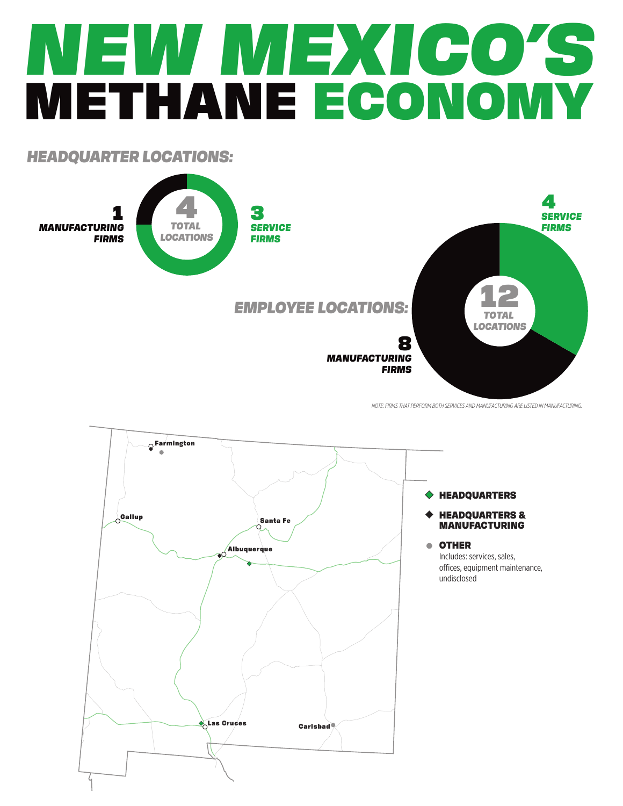# *NEW MEXICO'S* METHANE ECONOMY

## *HEADQUARTER LOCATIONS:*



*NOTE: FIRMS THAT PERFORM BOTH SERVICES AND MANUFACTURING ARE LISTED IN MANUFACTURING.*



#### HEADQUARTERS

#### HEADQUARTERS & MANUFACTURING

#### OTHER

Includes: services, sales, offices, equipment maintenance, undisclosed